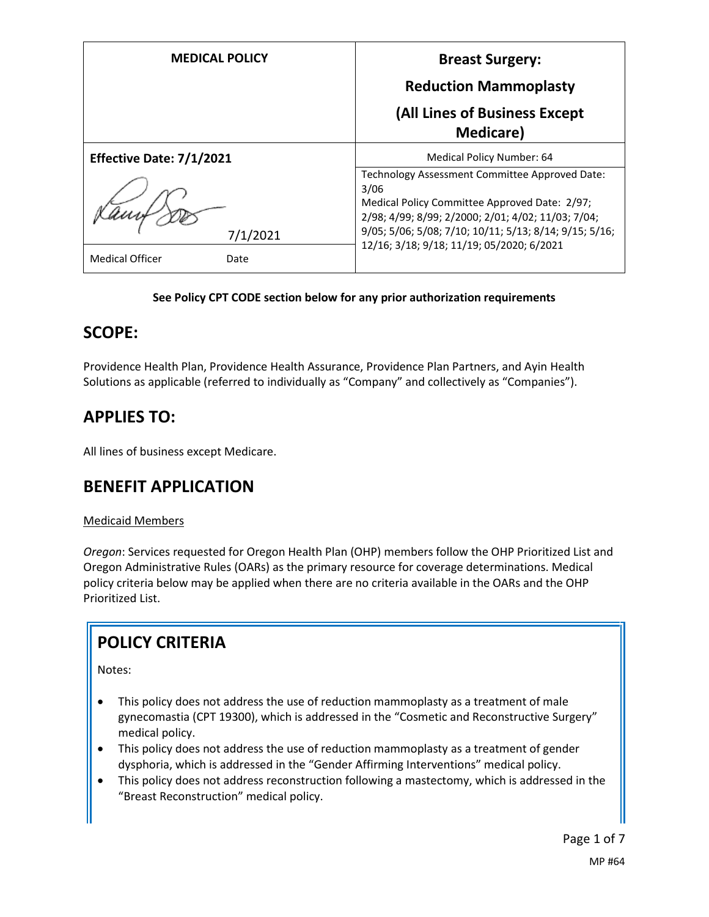| <b>MEDICAL POLICY</b>          | <b>Breast Surgery:</b>                                                                                                                                                                                                                                               |  |  |
|--------------------------------|----------------------------------------------------------------------------------------------------------------------------------------------------------------------------------------------------------------------------------------------------------------------|--|--|
|                                | <b>Reduction Mammoplasty</b>                                                                                                                                                                                                                                         |  |  |
|                                | (All Lines of Business Except<br><b>Medicare</b> )                                                                                                                                                                                                                   |  |  |
| Effective Date: 7/1/2021       | Medical Policy Number: 64                                                                                                                                                                                                                                            |  |  |
| 7/1/2021                       | Technology Assessment Committee Approved Date:<br>3/06<br>Medical Policy Committee Approved Date: 2/97;<br>2/98; 4/99; 8/99; 2/2000; 2/01; 4/02; 11/03; 7/04;<br>9/05; 5/06; 5/08; 7/10; 10/11; 5/13; 8/14; 9/15; 5/16;<br>12/16; 3/18; 9/18; 11/19; 05/2020; 6/2021 |  |  |
| <b>Medical Officer</b><br>Date |                                                                                                                                                                                                                                                                      |  |  |

### **See Policy CPT CODE section below for any prior authorization requirements**

## **SCOPE:**

Providence Health Plan, Providence Health Assurance, Providence Plan Partners, and Ayin Health Solutions as applicable (referred to individually as "Company" and collectively as "Companies").

# **APPLIES TO:**

All lines of business except Medicare.

## **BENEFIT APPLICATION**

#### Medicaid Members

*Oregon*: Services requested for Oregon Health Plan (OHP) members follow the OHP Prioritized List and Oregon Administrative Rules (OARs) as the primary resource for coverage determinations. Medical policy criteria below may be applied when there are no criteria available in the OARs and the OHP Prioritized List.

# **POLICY CRITERIA**

Notes:

- This policy does not address the use of reduction mammoplasty as a treatment of male gynecomastia (CPT 19300), which is addressed in the "Cosmetic and Reconstructive Surgery" medical policy.
- This policy does not address the use of reduction mammoplasty as a treatment of gender dysphoria, which is addressed in the "Gender Affirming Interventions" medical policy.
- This policy does not address reconstruction following a mastectomy, which is addressed in the "Breast Reconstruction" medical policy.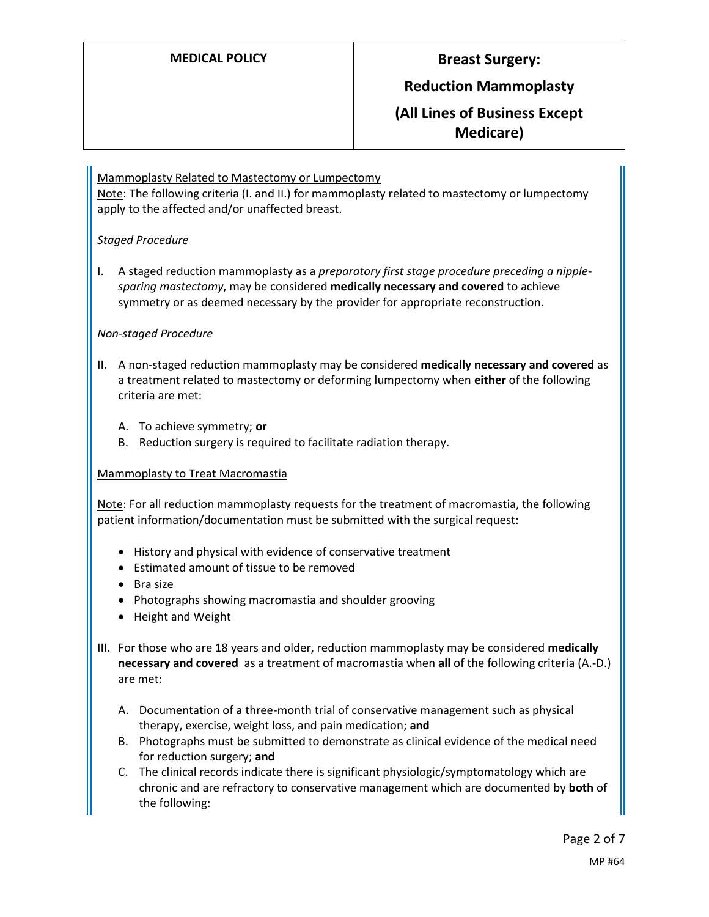## **Reduction Mammoplasty**

**(All Lines of Business Except Medicare)**

#### Mammoplasty Related to Mastectomy or Lumpectomy

Note: The following criteria (I. and II.) for mammoplasty related to mastectomy or lumpectomy apply to the affected and/or unaffected breast.

#### *Staged Procedure*

I. A staged reduction mammoplasty as a *preparatory first stage procedure preceding a nipplesparing mastectomy*, may be considered **medically necessary and covered** to achieve symmetry or as deemed necessary by the provider for appropriate reconstruction.

#### *Non-staged Procedure*

- II. A non-staged reduction mammoplasty may be considered **medically necessary and covered** as a treatment related to mastectomy or deforming lumpectomy when **either** of the following criteria are met:
	- A. To achieve symmetry; **or**
	- B. Reduction surgery is required to facilitate radiation therapy.

#### Mammoplasty to Treat Macromastia

Note: For all reduction mammoplasty requests for the treatment of macromastia, the following patient information/documentation must be submitted with the surgical request:

- History and physical with evidence of conservative treatment
- Estimated amount of tissue to be removed
- Bra size
- Photographs showing macromastia and shoulder grooving
- Height and Weight
- III. For those who are 18 years and older, reduction mammoplasty may be considered **medically necessary and covered** as a treatment of macromastia when **all** of the following criteria (A.-D.) are met:
	- A. Documentation of a three-month trial of conservative management such as physical therapy, exercise, weight loss, and pain medication; **and**
	- B. Photographs must be submitted to demonstrate as clinical evidence of the medical need for reduction surgery; **and**
	- C. The clinical records indicate there is significant physiologic/symptomatology which are chronic and are refractory to conservative management which are documented by **both** of the following: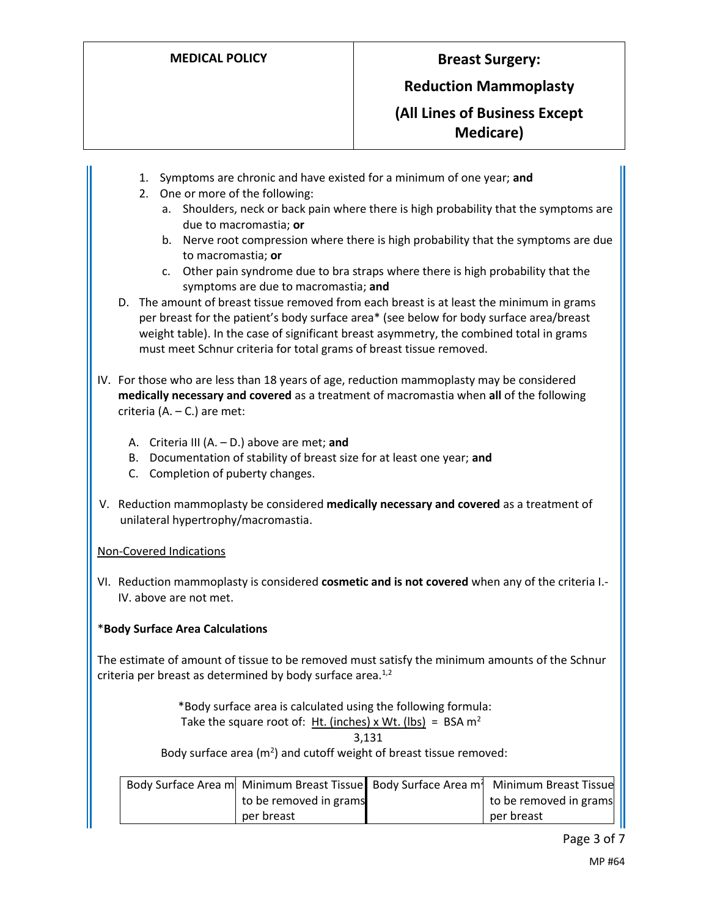## **Reduction Mammoplasty**

**(All Lines of Business Except Medicare)**

- 1. Symptoms are chronic and have existed for a minimum of one year; **and**
- 2. One or more of the following:
	- a. Shoulders, neck or back pain where there is high probability that the symptoms are due to macromastia; **or**
	- b. Nerve root compression where there is high probability that the symptoms are due to macromastia; **or**
	- c. Other pain syndrome due to bra straps where there is high probability that the symptoms are due to macromastia; **and**
- D. The amount of breast tissue removed from each breast is at least the minimum in grams per breast for the patient's body surface area\* (see below for body surface area/breast weight table). In the case of significant breast asymmetry, the combined total in grams must meet Schnur criteria for total grams of breast tissue removed.
- IV. For those who are less than 18 years of age, reduction mammoplasty may be considered **medically necessary and covered** as a treatment of macromastia when **all** of the following criteria (A. – C.) are met:
	- A. Criteria III (A. D.) above are met; **and**
	- B. Documentation of stability of breast size for at least one year; **and**
	- C. Completion of puberty changes.
- V. Reduction mammoplasty be considered **medically necessary and covered** as a treatment of unilateral hypertrophy/macromastia.

### Non-Covered Indications

VI. Reduction mammoplasty is considered **cosmetic and is not covered** when any of the criteria I.- IV. above are not met.

### \***Body Surface Area Calculations**

The estimate of amount of tissue to be removed must satisfy the minimum amounts of the Schnur criteria per breast as determined by body surface area. $^{1,2}$ 

\*Body surface area is calculated using the following formula:

Take the square root of: It. (inches) x Wt. (lbs) = 
$$
BSA \, \text{m}^2
$$

$$
3{,}131
$$

Body surface area ( $m<sup>2</sup>$ ) and cutoff weight of breast tissue removed:

|                        | Body Surface Area m Minimum Breast Tissue Body Surface Area m Minimum Breast Tissue |
|------------------------|-------------------------------------------------------------------------------------|
| to be removed in grams | to be removed in grams                                                              |
| per breast             | per breast                                                                          |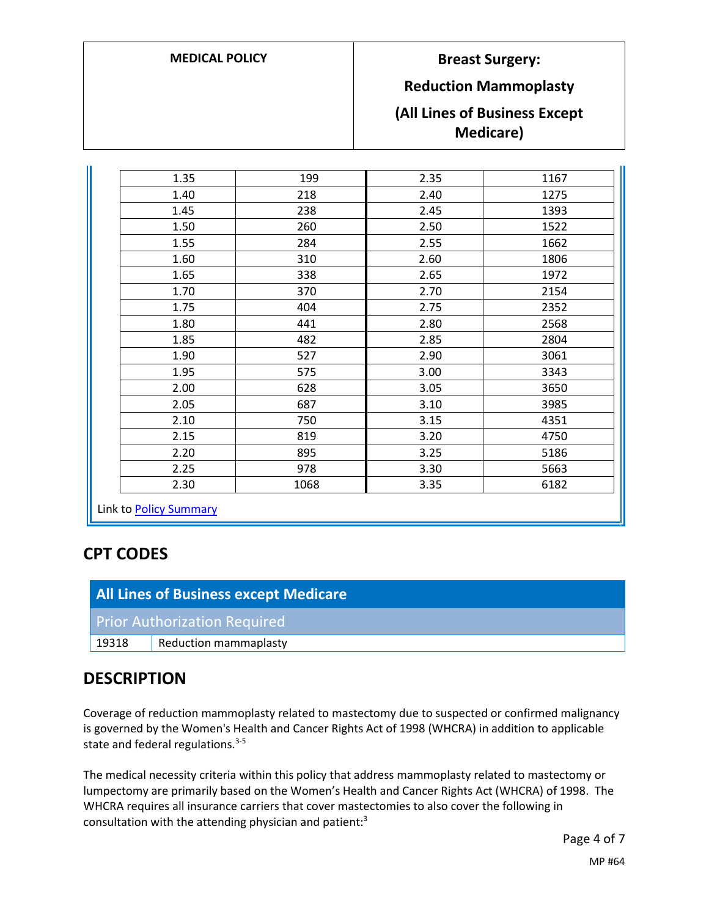## **Reduction Mammoplasty**

## **(All Lines of Business Except Medicare)**

| 1.35                                      | 199  | 2.35 | 1167                 |
|-------------------------------------------|------|------|----------------------|
| 1.40                                      | 218  | 2.40 | 1275                 |
| 1.45                                      | 238  | 2.45 | 1393                 |
| 1.50                                      | 260  | 2.50 | 1522                 |
| 1.55                                      | 284  | 2.55 | 1662                 |
| 1.60                                      | 310  | 2.60 | 1806                 |
| 1.65<br>338<br>1.70<br>370<br>1.75<br>404 |      | 2.65 | 1972<br>2154<br>2352 |
|                                           |      | 2.70 |                      |
|                                           |      | 2.75 |                      |
| 1.80                                      | 441  | 2.80 | 2568                 |
| 1.85                                      | 482  | 2.85 | 2804                 |
| 1.90                                      | 527  | 2.90 | 3061                 |
| 1.95<br>575                               |      | 3.00 | 3343                 |
| 2.00                                      | 628  | 3.05 | 3650                 |
| 2.05                                      | 687  | 3.10 | 3985                 |
| 2.10                                      | 750  | 3.15 | 4351                 |
| 2.15                                      | 819  | 3.20 | 4750                 |
| 2.20                                      | 895  | 3.25 | 5186                 |
| 2.25                                      | 978  | 3.30 | 5663                 |
| 2.30                                      | 1068 | 3.35 | 6182                 |

## **CPT CODES**

| All Lines of Business except Medicare |                              |  |
|---------------------------------------|------------------------------|--|
| <b>Prior Authorization Required</b>   |                              |  |
| 19318                                 | <b>Reduction mammaplasty</b> |  |

## **DESCRIPTION**

Coverage of reduction mammoplasty related to mastectomy due to suspected or confirmed malignancy is governed by the Women's Health and Cancer Rights Act of 1998 (WHCRA) in addition to applicable state and federal regulations.<sup>3-5</sup>

The medical necessity criteria within this policy that address mammoplasty related to mastectomy or lumpectomy are primarily based on the Women's Health and Cancer Rights Act (WHCRA) of 1998. The WHCRA requires all insurance carriers that cover mastectomies to also cover the following in consultation with the attending physician and patient:3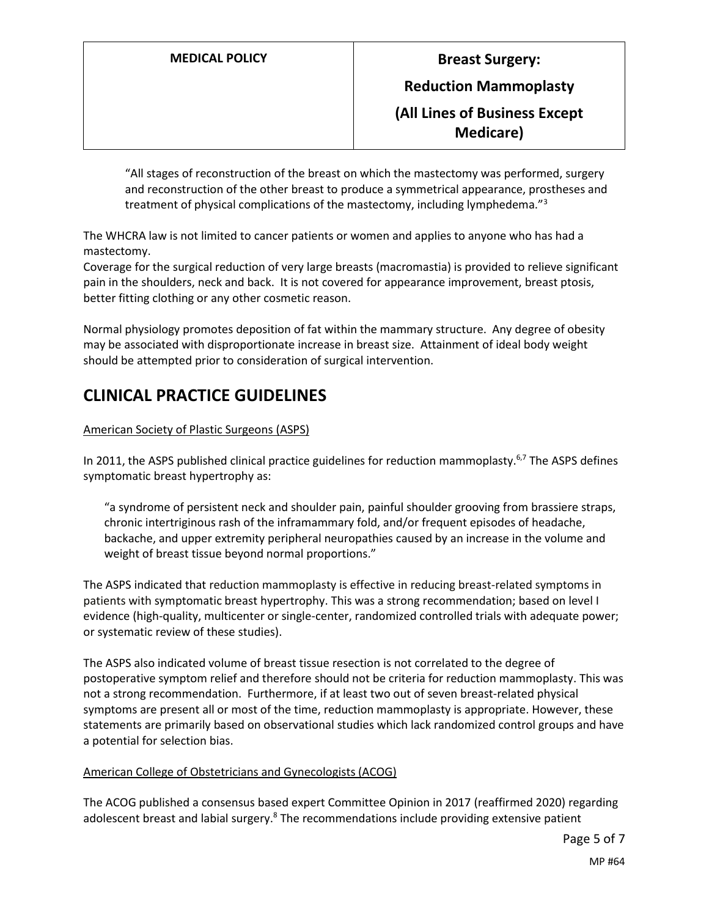**Reduction Mammoplasty**

**(All Lines of Business Except Medicare)**

"All stages of reconstruction of the breast on which the mastectomy was performed, surgery and reconstruction of the other breast to produce a symmetrical appearance, prostheses and treatment of physical complications of the mastectomy, including lymphedema."<sup>3</sup>

The WHCRA law is not limited to cancer patients or women and applies to anyone who has had a mastectomy.

Coverage for the surgical reduction of very large breasts (macromastia) is provided to relieve significant pain in the shoulders, neck and back. It is not covered for appearance improvement, breast ptosis, better fitting clothing or any other cosmetic reason.

Normal physiology promotes deposition of fat within the mammary structure. Any degree of obesity may be associated with disproportionate increase in breast size. Attainment of ideal body weight should be attempted prior to consideration of surgical intervention.

# **CLINICAL PRACTICE GUIDELINES**

### American Society of Plastic Surgeons (ASPS)

In 2011, the ASPS published clinical practice guidelines for reduction mammoplasty.<sup>6,7</sup> The ASPS defines symptomatic breast hypertrophy as:

"a syndrome of persistent neck and shoulder pain, painful shoulder grooving from brassiere straps, chronic intertriginous rash of the inframammary fold, and/or frequent episodes of headache, backache, and upper extremity peripheral neuropathies caused by an increase in the volume and weight of breast tissue beyond normal proportions."

The ASPS indicated that reduction mammoplasty is effective in reducing breast-related symptoms in patients with symptomatic breast hypertrophy. This was a strong recommendation; based on level I evidence (high-quality, multicenter or single-center, randomized controlled trials with adequate power; or systematic review of these studies).

The ASPS also indicated volume of breast tissue resection is not correlated to the degree of postoperative symptom relief and therefore should not be criteria for reduction mammoplasty. This was not a strong recommendation. Furthermore, if at least two out of seven breast-related physical symptoms are present all or most of the time, reduction mammoplasty is appropriate. However, these statements are primarily based on observational studies which lack randomized control groups and have a potential for selection bias.

#### American College of Obstetricians and Gynecologists (ACOG)

The ACOG published a consensus based expert Committee Opinion in 2017 (reaffirmed 2020) regarding adolescent breast and labial surgery.<sup>8</sup> The recommendations include providing extensive patient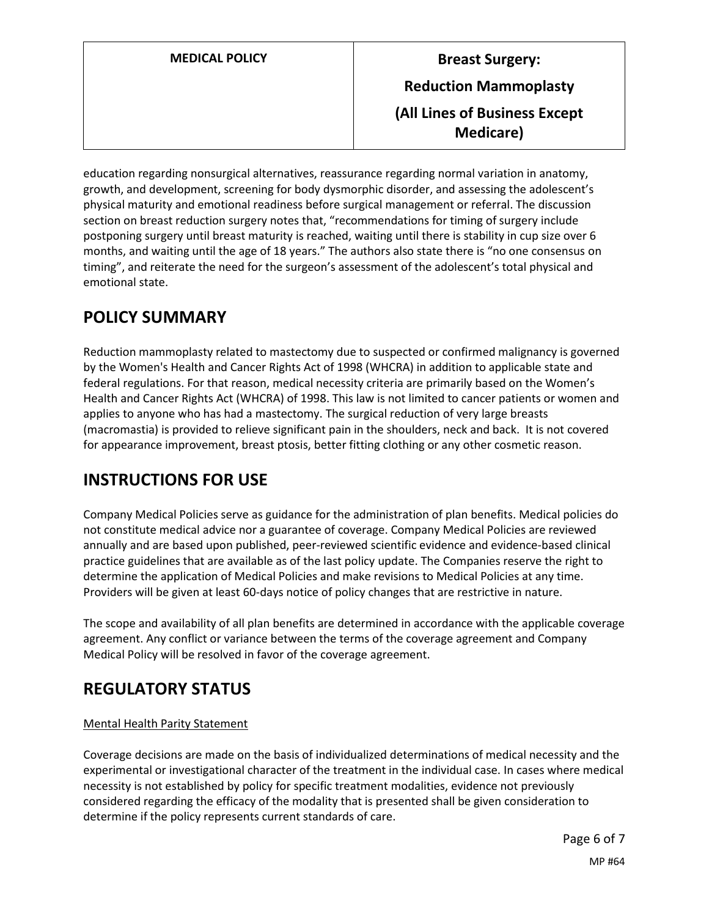|  |  |  |  | <b>MEDICAL POLICY</b> |  |
|--|--|--|--|-----------------------|--|
|--|--|--|--|-----------------------|--|

# **Breast Surgery: Reduction Mammoplasty (All Lines of Business Except Medicare)**

education regarding nonsurgical alternatives, reassurance regarding normal variation in anatomy, growth, and development, screening for body dysmorphic disorder, and assessing the adolescent's physical maturity and emotional readiness before surgical management or referral. The discussion section on breast reduction surgery notes that, "recommendations for timing of surgery include postponing surgery until breast maturity is reached, waiting until there is stability in cup size over 6 months, and waiting until the age of 18 years." The authors also state there is "no one consensus on timing", and reiterate the need for the surgeon's assessment of the adolescent's total physical and emotional state.

# <span id="page-5-0"></span>**POLICY SUMMARY**

Reduction mammoplasty related to mastectomy due to suspected or confirmed malignancy is governed by the Women's Health and Cancer Rights Act of 1998 (WHCRA) in addition to applicable state and federal regulations. For that reason, medical necessity criteria are primarily based on the Women's Health and Cancer Rights Act (WHCRA) of 1998. This law is not limited to cancer patients or women and applies to anyone who has had a mastectomy. The surgical reduction of very large breasts (macromastia) is provided to relieve significant pain in the shoulders, neck and back. It is not covered for appearance improvement, breast ptosis, better fitting clothing or any other cosmetic reason.

## **INSTRUCTIONS FOR USE**

Company Medical Policies serve as guidance for the administration of plan benefits. Medical policies do not constitute medical advice nor a guarantee of coverage. Company Medical Policies are reviewed annually and are based upon published, peer-reviewed scientific evidence and evidence-based clinical practice guidelines that are available as of the last policy update. The Companies reserve the right to determine the application of Medical Policies and make revisions to Medical Policies at any time. Providers will be given at least 60-days notice of policy changes that are restrictive in nature.

The scope and availability of all plan benefits are determined in accordance with the applicable coverage agreement. Any conflict or variance between the terms of the coverage agreement and Company Medical Policy will be resolved in favor of the coverage agreement.

# **REGULATORY STATUS**

## Mental Health Parity Statement

Coverage decisions are made on the basis of individualized determinations of medical necessity and the experimental or investigational character of the treatment in the individual case. In cases where medical necessity is not established by policy for specific treatment modalities, evidence not previously considered regarding the efficacy of the modality that is presented shall be given consideration to determine if the policy represents current standards of care.